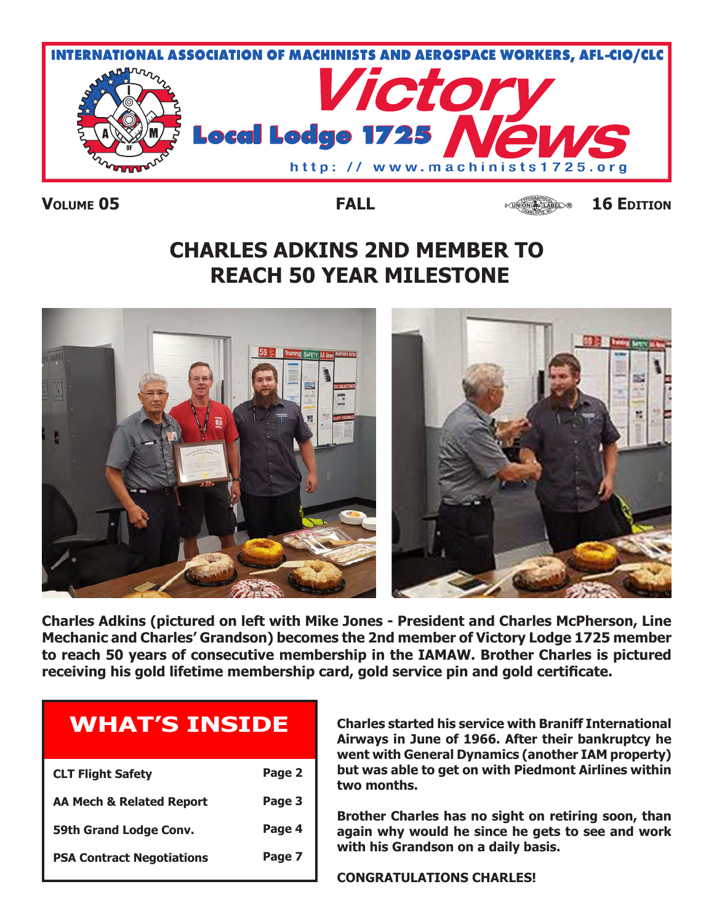

**V**OLUME 05 **FALL** THE RESERVE EXAMPLE 2008 AND RESERVE 2008 **16 E**DITION

## **CHARLES ADKINS 2ND MEMBER TO REACH 50 YEAR MILESTONE**



**Charles Adkins (pictured on left with Mike Jones - President and Charles McPherson, Line Mechanic and Charles' Grandson) becomes the 2nd member of Victory Lodge 1725 member to reach 50 years of consecutive membership in the IAMAW. Brother Charles is pictured receiving his gold lifetime membership card, gold service pin and gold certificate.**

## **WHAT'S INSIDE**

| <b>CLT Flight Safety</b>            | Page 2 |
|-------------------------------------|--------|
| <b>AA Mech &amp; Related Report</b> | Page 3 |
| 59th Grand Lodge Conv.              | Page 4 |
| <b>PSA Contract Negotiations</b>    | Page 7 |

**Charles started his service with Braniff International Airways in June of 1966. After their bankruptcy he went with General Dynamics (another IAM property) but was able to get on with Piedmont Airlines within two months.**

**Brother Charles has no sight on retiring soon, than again why would he since he gets to see and work with his Grandson on a daily basis.**

**CONGRATULATIONS CHARLES!**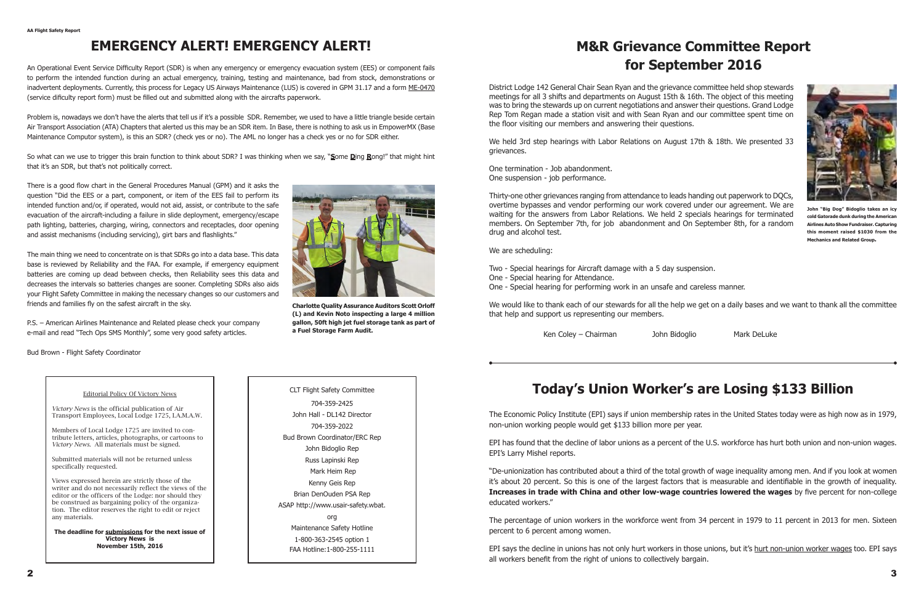We held 3rd step hearings with Labor Relations on August 17th & 18th. We presented 33 grievances.

District Lodge 142 General Chair Sean Ryan and the grievance committee held shop stewards meetings for all 3 shifts and departments on August 15th & 16th. The object of this meeting was to bring the stewards up on current negotiations and answer their questions. Grand Lodge Rep Tom Regan made a station visit and with Sean Ryan and our committee spent time on the floor visiting our members and answering their questions.

One termination - Job abandonment. One suspension - job performance.

Thirty-one other grievances ranging from attendance to leads handing out paperwork to DQCs, overtime bypasses and vendor performing our work covered under our agreement. We are waiting for the answers from Labor Relations. We held 2 specials hearings for terminated members. On September 7th, for job abandonment and On September 8th, for a random drug and alcohol test.

We are scheduling:

Two - Special hearings for Aircraft damage with a 5 day suspension. One - Special hearing for Attendance.

One - Special hearing for performing work in an unsafe and careless manner.

We would like to thank each of our stewards for all the help we get on a daily bases and we want to thank all the committee that help and support us representing our members.

### **EMERGENCY ALERT! EMERGENCY ALERT!**

An Operational Event Service Difficulty Report (SDR) is when any emergency or emergency evacuation system (EES) or component fails to perform the intended function during an actual emergency, training, testing and maintenance, bad from stock, demonstrations or inadvertent deployments. Currently, this process for Legacy US Airways Maintenance (LUS) is covered in GPM 31.17 and a form ME-0470 (service dificulty report form) must be filled out and submitted along with the aircrafts paperwork.

Problem is, nowadays we don't have the alerts that tell us if it's a possible SDR. Remember, we used to have a little triangle beside certain Air Transport Association (ATA) Chapters that alerted us this may be an SDR item. In Base, there is nothing to ask us in EmpowerMX (Base Maintenance Computor system), is this an SDR? (check yes or no). The AML no longer has a check yes or no for SDR either.

So what can we use to trigger this brain function to think about SDR? I was thinking when we say, "**S**ome **D**ing **R**ong!" that might hint that it's an SDR, but that's not politically correct.

There is a good flow chart in the General Procedures Manual (GPM) and it asks the question "Did the EES or a part, component, or item of the EES fail to perform its intended function and/or, if operated, would not aid, assist, or contribute to the safe evacuation of the aircraft-including a failure in slide deployment, emergency/escape path lighting, batteries, charging, wiring, connectors and receptacles, door opening and assist mechanisms (including servicing), girt bars and flashlights."

The main thing we need to concentrate on is that SDRs go into a data base. This data base is reviewed by Reliability and the FAA. For example, if emergency equipment batteries are coming up dead between checks, then Reliability sees this data and decreases the intervals so batteries changes are sooner. Completing SDRs also aids your Flight Safety Committee in making the necessary changes so our customers and friends and families fly on the safest aircraft in the sky.

P.S. – American Airlines Maintenance and Related please check your company e-mail and read "Tech Ops SMS Monthly", some very good safety articles.

Bud Brown - Flight Safety Coordinator

#### Editorial Policy Of Victory News

*Victory News* is the official publication of Air Transport Employees, Local Lodge 1725, I.A.M.A.W.

Members of Local Lodge 1725 are invited to contribute letters, articles, photographs, or cartoons to *Victory News.* All materials must be signed.

Submitted materials will not be returned unless specifically requested.

Views expressed herein are strictly those of the writer and do not necessarily reflect the views of the editor or the officers of the Lodge: nor should they be construed as bargaining policy of the organization. The editor reserves the right to edit or reject any materials.

**The deadline for submissions for the next issue of Victory News is November 15th, 2016**

# **M&R Grievance Committee Report for September 2016**

### CLT Flight Safety Committee 704-359-2425 John Hall - DL142 Director 704-359-2022 Bud Brown Coordinator/ERC Rep John Bidoglio Rep Russ Lapinski Rep Mark Heim Rep Kenny Geis Rep Brian DenOuden PSA Rep ASAP http://www.usair-safety.wbat. org Maintenance Safety Hotline 1-800-363-2545 option 1 FAA Hotline:1-800-255-1111

The Economic Policy Institute (EPI) says if union membership rates in the United States today were as high now as in 1979, non-union working people would get \$133 billion more per year.

EPI has found that the decline of labor unions as a percent of the U.S. workforce has hurt both union and non-union wages. EPI's Larry Mishel reports.

"De-unionization has contributed about a third of the total growth of wage inequality among men. And if you look at women it's about 20 percent. So this is one of the largest factors that is measurable and identifiable in the growth of inequality. **Increases in trade with China and other low-wage countries lowered the wages** by five percent for non-college educated workers."

The percentage of union workers in the workforce went from 34 percent in 1979 to 11 percent in 2013 for men. Sixteen percent to 6 percent among women.

EPI says the decline in unions has not only hurt workers in those unions, but it's hurt non-union worker wages too. EPI says all workers benefit from the right of unions to collectively bargain.

## **Today's Union Worker's are Losing \$133 Billion**



**Charlotte Quality Assurance Auditors Scott Orloff (L) and Kevin Noto inspecting a large 4 million gallon, 50ft high jet fuel storage tank as part of a Fuel Storage Farm Audit.**



**John "Big Dog" Bidoglio takes an icy cold Gatorade dunk during the American Airlines Auto Show Fundraiser. Capturing this moment raised \$1030 from the Mechanics and Related Group.** 

Ken Coley – Chairman John Bidoglio Mark DeLuke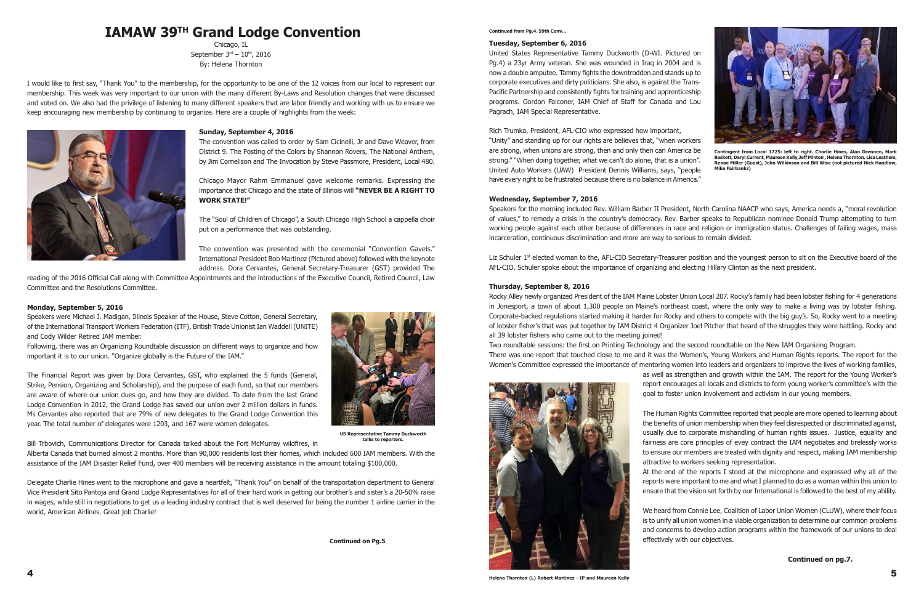

#### **Tuesday, September 6, 2016**

United States Representative Tammy Duckworth (D-WI. Pictured on Pg.4) a 23yr Army veteran. She was wounded in Iraq in 2004 and is now a double amputee. Tammy fights the downtrodden and stands up to corporate executives and dirty politicians. She also, is against the Trans-Pacific Partnership and consistently fights for training and apprenticeship programs. Gordon Falconer, IAM Chief of Staff for Canada and Lou Pagrach, IAM Special Representative.

Rich Trumka, President, AFL-CIO who expressed how important, "Unity" and standing up for our rights are believes that, "when workers are strong, when unions are strong, then and only then can America be strong." "When doing together, what we can't do alone, that is a union". United Auto Workers (UAW) President Dennis Williams, says, "people have every right to be frustrated because there is no balance in America."

Liz Schuler 1st elected woman to the, AFL-CIO Secretary-Treasurer position and the youngest person to sit on the Executive board of the AFL-CIO. Schuler spoke about the importance of organizing and electing Hillary Clinton as the next president.

#### **Wednesday, September 7, 2016**

Speakers for the morning included Rev. William Barber II President, North Carolina NAACP who says, America needs a, "moral revolution of values," to remedy a crisis in the country's democracy. Rev. Barber speaks to Republican nominee Donald Trump attempting to turn working people against each other because of differences in race and religion or immigration status. Challenges of failing wages, mass incarceration, continuous discrimination and more are way to serious to remain divided.

#### **Thursday, September 8, 2016**

Rocky Alley newly organized President of the IAM Maine Lobster Union Local 207. Rocky's family had been lobster fishing for 4 generations in Jonesport, a town of about 1,300 people on Maine's northeast coast, where the only way to make a living was by lobster fishing. Corporate-backed regulations started making it harder for Rocky and others to compete with the big guy's. So, Rocky went to a meeting of lobster fisher's that was put together by IAM District 4 Organizer Joel Pitcher that heard of the struggles they were battling. Rocky and all 39 lobster fishers who came out to the meeting joined! Two roundtable sessions: the first on Printing Technology and the second roundtable on the New IAM Organizing Program. There was one report that touched close to me and it was the Women's, Young Workers and Human Rights reports. The report for the Women's Committee expressed the importance of mentoring women into leaders and organizers to improve the lives of working families,

as well as strengthen and growth within the IAM. The report for the Young Worker's report encourages all locals and districts to form young worker's committee's with the goal to foster union involvement and activism in our young members.

The Human Rights Committee reported that people are more opened to learning about the benefits of union membership when they feel disrespected or discriminated against, usually due to corporate mishandling of human rights issues. Justice, equality and fairness are core principles of evey contract the IAM negotiates and tirelessly works to ensure our members are treated with dignity and respect, making IAM membership attractive to workers seeking representation.

At the end of the reports I stood at the microphone and expressed why all of the reports were important to me and what I planned to do as a woman within this union to ensure that the vision set forth by our International is followed to the best of my ability.

We heard from Connie Lee, Coalition of Labor Union Women (CLUW), where their focus is to unify all union women in a viable organization to determine our common problems and concerns to develop action programs within the framework of our unions to deal effectively with our objectives.

## **IAMAW 39TH Grand Lodge Convention**

Chicago, IL September  $3<sup>rd</sup> - 10<sup>th</sup>$ , 2016 By: Helena Thornton

**Continued from Pg.4. 59th Conv...**

I would like to first say, "Thank You" to the membership, for the opportunity to be one of the 12 voices from our local to represent our membership. This week was very important to our union with the many different By-Laws and Resolution changes that were discussed and voted on. We also had the privilege of listening to many different speakers that are labor friendly and working with us to ensure we keep encouraging new membership by continuing to organize. Here are a couple of highlights from the week:



#### **Sunday, September 4, 2016**

The convention was called to order by Sam Cicinelli, Jr and Dave Weaver, from District 9. The Posting of the Colors by Shannon Rovers, The National Anthem, by Jim Cornelison and The Invocation by Steve Passmore, President, Local 480.

Chicago Mayor Rahm Emmanuel gave welcome remarks. Expressing the importance that Chicago and the state of Illinois will **"NEVER BE A RIGHT TO WORK STATE!"**

The "Soul of Children of Chicago", a South Chicago High School a cappella choir put on a performance that was outstanding.

The convention was presented with the ceremonial "Convention Gavels." International President Bob Martinez (Pictured above) followed with the keynote address. Dora Cervantes, General Secretary-Treasurer (GST) provided The

reading of the 2016 Official Call along with Committee Appointments and the introductions of the Executive Council, Retired Council, Law Committee and the Resolutions Committee.

#### **Monday, September 5, 2016**

Speakers were Michael J. Madigan, Illinois Speaker of the House, Steve Cotton, General Secretary, of the International Transport Workers Federation (ITF), British Trade Unionist Ian Waddell (UNITE) and Cody Wilder Retired IAM member.

Following, there was an Organizing Roundtable discussion on different ways to organize and how important it is to our union. "Organize globally is the Future of the IAM."

The Financial Report was given by Dora Cervantes, GST, who explained the 5 funds (General, Strike, Pension, Organizing and Scholarship), and the purpose of each fund, so that our members are aware of where our union dues go, and how they are divided. To date from the last Grand Lodge Convention in 2012, the Grand Lodge has saved our union over 2 million dollars in funds. Ms Cervantes also reported that are 79% of new delegates to the Grand Lodge Convention this year. The total number of delegates were 1203, and 167 were women delegates.

Bill Trbovich, Communications Director for Canada talked about the Fort McMurray wildfires, in

Alberta Canada that burned almost 2 months. More than 90,000 residents lost their homes, which included 600 IAM members. With the assistance of the IAM Disaster Relief Fund, over 400 members will be receiving assistance in the amount totaling \$100,000.

Delegate Charlie Hines went to the microphone and gave a heartfelt, "Thank You" on behalf of the transportation department to General Vice President Sito Pantoja and Grand Lodge Representatives for all of their hard work in getting our brother's and sister's a 20-50% raise in wages, while still in negotiations to get us a leading industry contract that is well deserved for being the number 1 airline carrier in the world, American Airlines. Great job Charlie!

**Continued on Pg.5**



**US Representative Tammy Duckworth talks to reporters.**



**Contingent from Local 1725: left to right. Charlie Hines, Alan Drennen, Mark Baskett, Daryl Current, Maureen Kelly,Jeff Minton , Helena Thornton, Lisa Leathers, Renae Miller (Guest), John Wilkinson and Bill Wise (not pictured Nick Handlow, Mike Fairbanks)**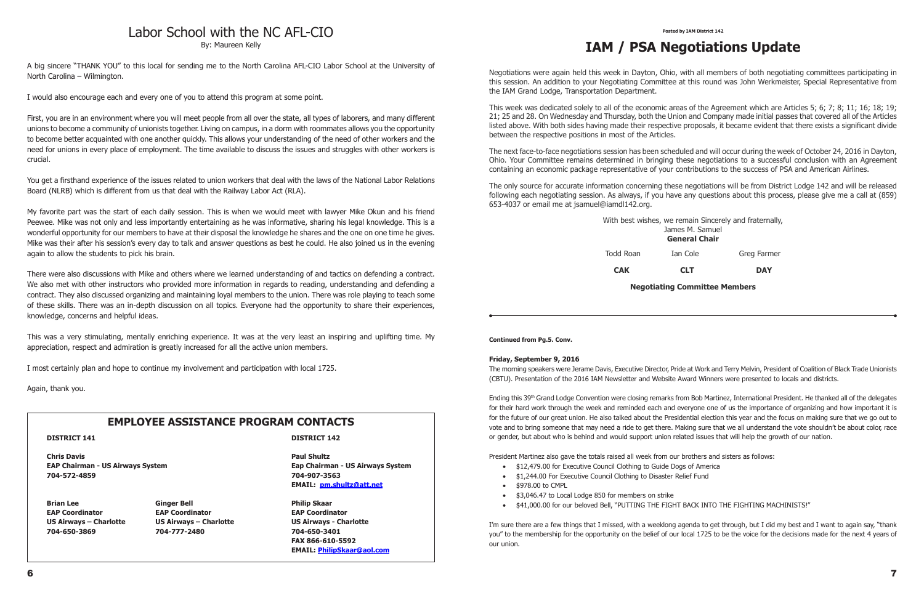**Chris Davis Paul Shultz EAP Chairman - US Airways System Eap Chairman - US Airways System 704-572-4859 704-907-3563**

 **EMAIL: pm.shultz@att.net**

**Brian Lee Ginger Bell Philip Skaar EAP Coordinator EAP Coordinator EAP Coordinator US Airways – Charlotte US Airways – Charlotte US Airways - Charlotte**

**DISTRICT 141** DISTRICT 142

**704-650-3869 704-777-2480 704-650-3401**

 **FAX 866-610-5592 EMAIL: PhilipSkaar@aol.com**

### **EMPLOYEE ASSISTANCE PROGRAM CONTACTS**

Negotiations were again held this week in Dayton, Ohio, with all members of both negotiating committees participating in this session. An addition to your Negotiating Committee at this round was John Werkmeister, Special Representative from the IAM Grand Lodge, Transportation Department.

This week was dedicated solely to all of the economic areas of the Agreement which are Articles 5; 6; 7; 8; 11; 16; 18; 19; 21; 25 and 28. On Wednesday and Thursday, both the Union and Company made initial passes that covered all of the Articles listed above. With both sides having made their respective proposals, it became evident that there exists a significant divide between the respective positions in most of the Articles.

The next face-to-face negotiations session has been scheduled and will occur during the week of October 24, 2016 in Dayton, Ohio. Your Committee remains determined in bringing these negotiations to a successful conclusion with an Agreement containing an economic package representative of your contributions to the success of PSA and American Airlines.

The only source for accurate information concerning these negotiations will be from District Lodge 142 and will be released following each negotiating session. As always, if you have any questions about this process, please give me a call at (859) 653-4037 or email me at jsamuel@iamdl142.org.

> With best wishes, we remain Sincerely and fraternally, James M. Samuel **General Chair** Todd Roan Ian Cole Greg Farmer **CAK CLT DAY**

**Negotiating Committee Members**

# **IAM / PSA Negotiations Update**

### **Posted by IAM District 142** Labor School with the NC AFL-CIO

By: Maureen Kelly

A big sincere "THANK YOU" to this local for sending me to the North Carolina AFL-CIO Labor School at the University of North Carolina – Wilmington.

I would also encourage each and every one of you to attend this program at some point.

First, you are in an environment where you will meet people from all over the state, all types of laborers, and many different unions to become a community of unionists together. Living on campus, in a dorm with roommates allows you the opportunity to become better acquainted with one another quickly. This allows your understanding of the need of other workers and the need for unions in every place of employment. The time available to discuss the issues and struggles with other workers is crucial.

> President Martinez also gave the totals raised all week from our brothers and sisters as follows: • \$12,479.00 for Executive Council Clothing to Guide Dogs of America • \$1,244.00 For Executive Council Clothing to Disaster Relief Fund

You get a firsthand experience of the issues related to union workers that deal with the laws of the National Labor Relations Board (NLRB) which is different from us that deal with the Railway Labor Act (RLA).

My favorite part was the start of each daily session. This is when we would meet with lawyer Mike Okun and his friend Peewee. Mike was not only and less importantly entertaining as he was informative, sharing his legal knowledge. This is a wonderful opportunity for our members to have at their disposal the knowledge he shares and the one on one time he gives. Mike was their after his session's every day to talk and answer questions as best he could. He also joined us in the evening again to allow the students to pick his brain.

There were also discussions with Mike and others where we learned understanding of and tactics on defending a contract. We also met with other instructors who provided more information in regards to reading, understanding and defending a contract. They also discussed organizing and maintaining loyal members to the union. There was role playing to teach some of these skills. There was an in-depth discussion on all topics. Everyone had the opportunity to share their experiences, knowledge, concerns and helpful ideas.

This was a very stimulating, mentally enriching experience. It was at the very least an inspiring and uplifting time. My appreciation, respect and admiration is greatly increased for all the active union members.

I most certainly plan and hope to continue my involvement and participation with local 1725.

Again, thank you.

**Continued from Pg.5. Conv.**

#### **Friday, September 9, 2016**

The morning speakers were Jerame Davis, Executive Director, Pride at Work and Terry Melvin, President of Coalition of Black Trade Unionists (CBTU). Presentation of the 2016 IAM Newsletter and Website Award Winners were presented to locals and districts.

Ending this 39th Grand Lodge Convention were closing remarks from Bob Martinez, International President. He thanked all of the delegates for their hard work through the week and reminded each and everyone one of us the importance of organizing and how important it is for the future of our great union. He also talked about the Presidential election this year and the focus on making sure that we go out to vote and to bring someone that may need a ride to get there. Making sure that we all understand the vote shouldn't be about color, race or gender, but about who is behind and would support union related issues that will help the growth of our nation.

- 
- 
- • \$978.00 to CMPL
- • \$3,046.47 to Local Lodge 850 for members on strike
- • \$41,000.00 for our beloved Bell, "PUTTING THE FIGHT BACK INTO THE FIGHTING MACHINISTS!"

I'm sure there are a few things that I missed, with a weeklong agenda to get through, but I did my best and I want to again say, "thank you" to the membership for the opportunity on the belief of our local 1725 to be the voice for the decisions made for the next 4 years of our union.